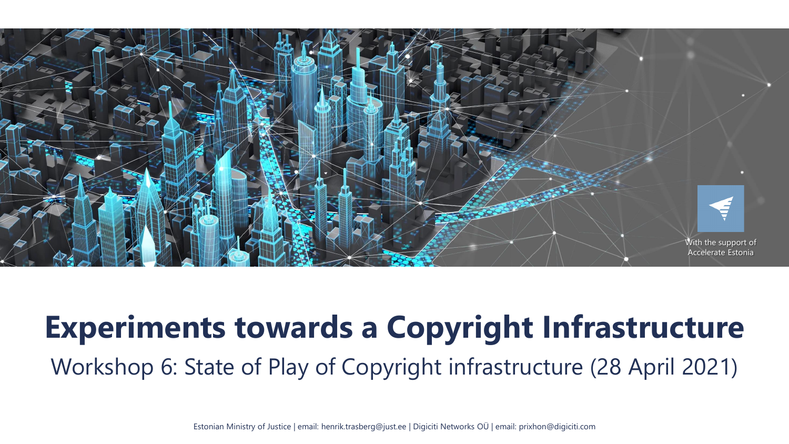

# **Experiments towards a Copyright Infrastructure** Workshop 6: State of Play of Copyright infrastructure (28 April 2021)

Estonian Ministry of Justice | email: henrik.trasberg@just.ee | Digiciti Networks OÜ | email: prixhon@digiciti.com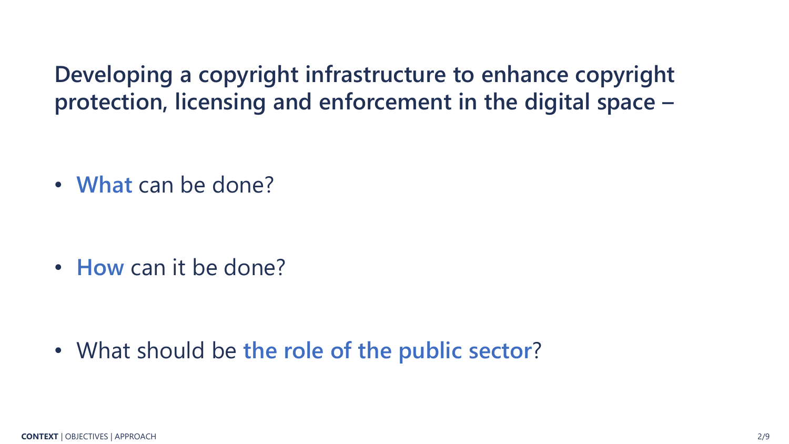**Developing a copyright infrastructure to enhance copyright protection, licensing and enforcement in the digital space –**

• **What** can be done?

• **How** can it be done?

• What should be **the role of the public sector**?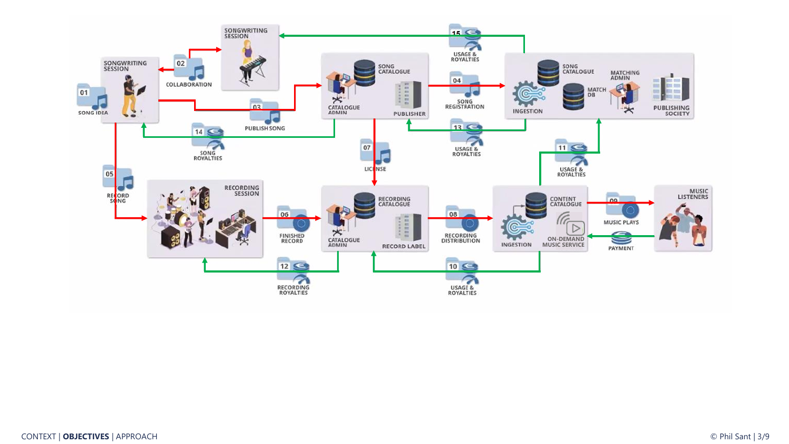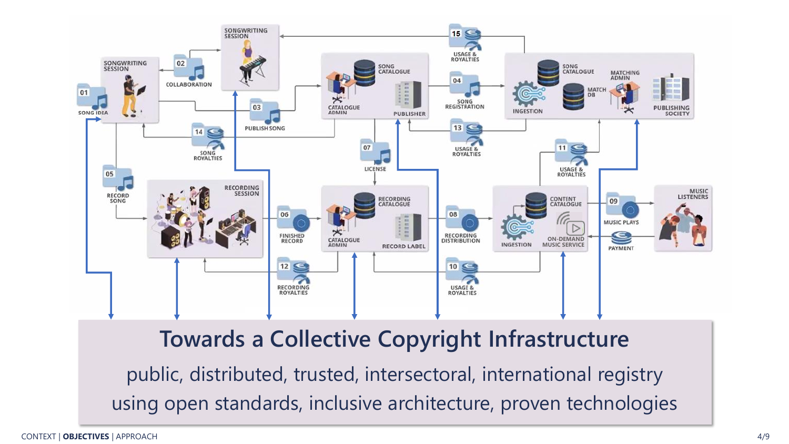

## **Towards a Collective Copyright Infrastructure**

public, distributed, trusted, intersectoral, international registry using open standards, inclusive architecture, proven technologies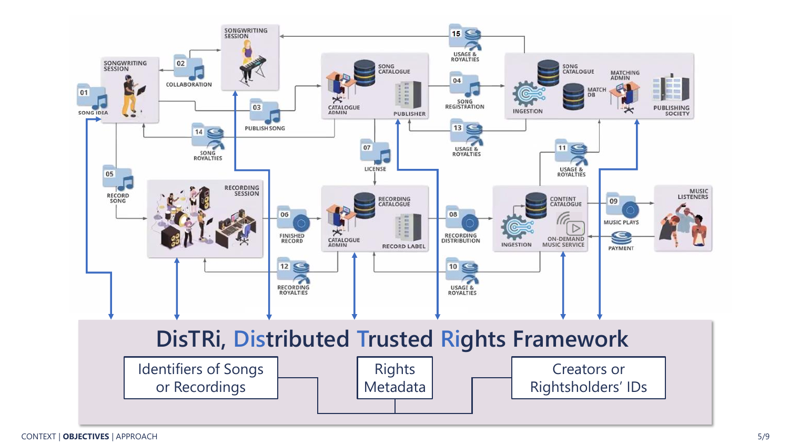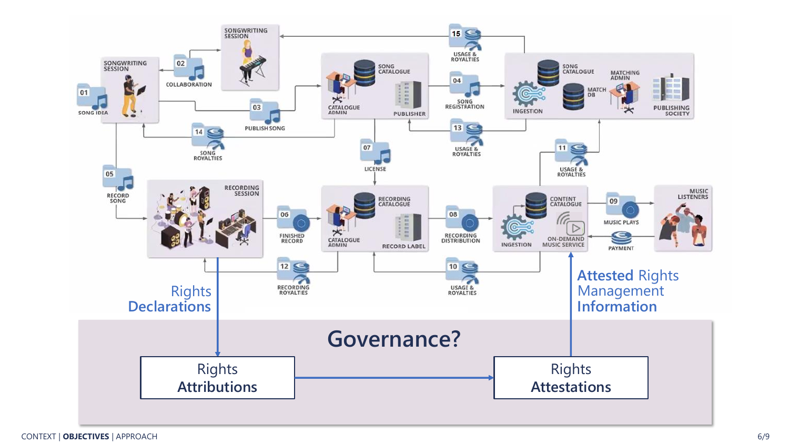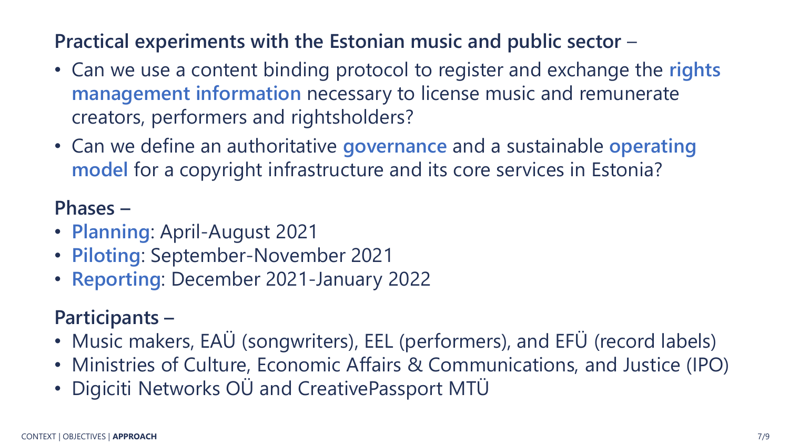#### **Practical experiments with the Estonian music and public sector** –

- Can we use a content binding protocol to register and exchange the **rights management information** necessary to license music and remunerate creators, performers and rightsholders?
- Can we define an authoritative **governance** and a sustainable **operating model** for a copyright infrastructure and its core services in Estonia?

## **Phases –**

- **Planning**: April-August 2021
- **Piloting**: September-November 2021
- **Reporting**: December 2021-January 2022

## **Participants –**

- Music makers, EAÜ (songwriters), EEL (performers), and EFÜ (record labels)
- Ministries of Culture, Economic Affairs & Communications, and Justice (IPO)
- Digiciti Networks OÜ and CreativePassport MTÜ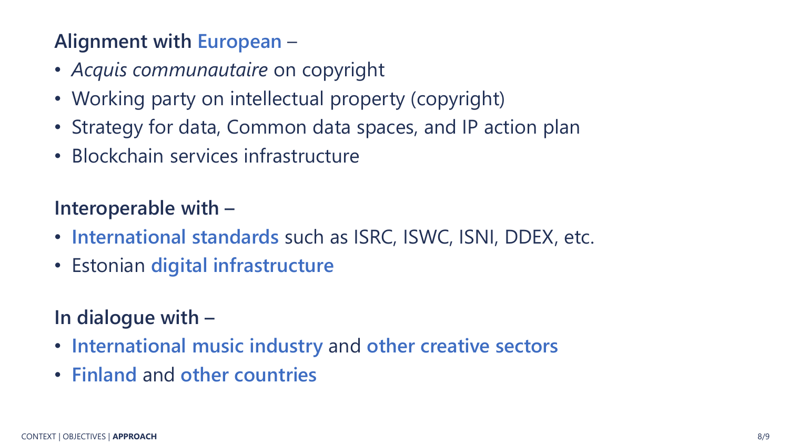## **Alignment with European** –

- *Acquis communautaire* on copyright
- Working party on intellectual property (copyright)
- Strategy for data, Common data spaces, and IP action plan
- Blockchain services infrastructure

## **Interoperable with –**

- **International standards** such as ISRC, ISWC, ISNI, DDEX, etc.
- Estonian **digital infrastructure**

## **In dialogue with –**

- **International music industry** and **other creative sectors**
- **Finland** and **other countries**